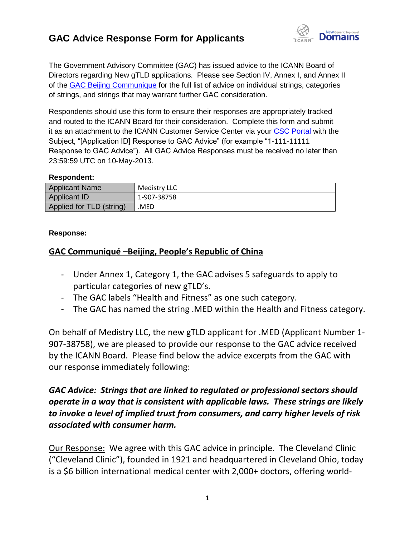

The Government Advisory Committee (GAC) has issued advice to the ICANN Board of Directors regarding New gTLD applications. Please see Section IV, Annex I, and Annex II of the [GAC Beijing Communique](http://www.icann.org/en/news/correspondence/gac-to-board-18apr13-en.pdf) for the full list of advice on individual strings, categories of strings, and strings that may warrant further GAC consideration.

Respondents should use this form to ensure their responses are appropriately tracked and routed to the ICANN Board for their consideration. Complete this form and submit it as an attachment to the ICANN Customer Service Center via your [CSC Portal](https://myicann.secure.force.com/) with the Subject, "[Application ID] Response to GAC Advice" (for example "1-111-11111 Response to GAC Advice"). All GAC Advice Responses must be received no later than 23:59:59 UTC on 10-May-2013.

#### **Respondent:**

| <b>Applicant Name</b>    | Medistry LLC |
|--------------------------|--------------|
| Applicant ID             | 1-907-38758  |
| Applied for TLD (string) | MED          |

#### **Response:**

#### **GAC Communiqué –Beijing, People's Republic of China**

- Under Annex 1, Category 1, the GAC advises 5 safeguards to apply to particular categories of new gTLD's.
- The GAC labels "Health and Fitness" as one such category.
- The GAC has named the string .MED within the Health and Fitness category.

On behalf of Medistry LLC, the new gTLD applicant for .MED (Applicant Number 1- 907-38758), we are pleased to provide our response to the GAC advice received by the ICANN Board. Please find below the advice excerpts from the GAC with our response immediately following:

#### *GAC Advice: Strings that are linked to regulated or professional sectors should operate in a way that is consistent with applicable laws. These strings are likely to invoke a level of implied trust from consumers, and carry higher levels of risk associated with consumer harm.*

Our Response: We agree with this GAC advice in principle. The Cleveland Clinic ("Cleveland Clinic"), founded in 1921 and headquartered in Cleveland Ohio, today is a \$6 billion international medical center with 2,000+ doctors, offering world-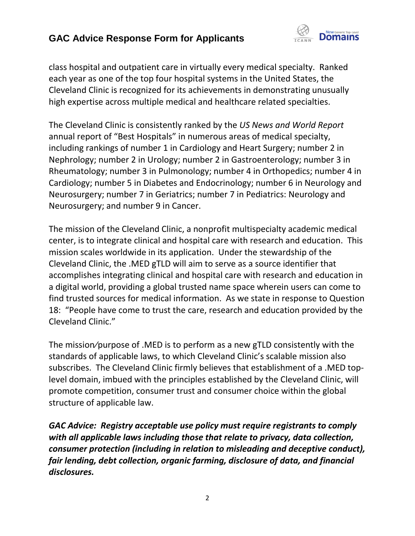

class hospital and outpatient care in virtually every medical specialty. Ranked each year as one of the top four hospital systems in the United States, the Cleveland Clinic is recognized for its achievements in demonstrating unusually high expertise across multiple medical and healthcare related specialties.

The Cleveland Clinic is consistently ranked by the *US News and World Report* annual report of "Best Hospitals" in numerous areas of medical specialty, including rankings of number 1 in Cardiology and Heart Surgery; number 2 in Nephrology; number 2 in Urology; number 2 in Gastroenterology; number 3 in Rheumatology; number 3 in Pulmonology; number 4 in Orthopedics; number 4 in Cardiology; number 5 in Diabetes and Endocrinology; number 6 in Neurology and Neurosurgery; number 7 in Geriatrics; number 7 in Pediatrics: Neurology and Neurosurgery; and number 9 in Cancer.

The mission of the Cleveland Clinic, a nonprofit multispecialty academic medical center, is to integrate clinical and hospital care with research and education. This mission scales worldwide in its application. Under the stewardship of the Cleveland Clinic, the .MED gTLD will aim to serve as a source identifier that accomplishes integrating clinical and hospital care with research and education in a digital world, providing a global trusted name space wherein users can come to find trusted sources for medical information. As we state in response to Question 18: "People have come to trust the care, research and education provided by the Cleveland Clinic."

The mission⁄purpose of .MED is to perform as a new gTLD consistently with the standards of applicable laws, to which Cleveland Clinic's scalable mission also subscribes. The Cleveland Clinic firmly believes that establishment of a .MED toplevel domain, imbued with the principles established by the Cleveland Clinic, will promote competition, consumer trust and consumer choice within the global structure of applicable law.

*GAC Advice: Registry acceptable use policy must require registrants to comply with all applicable laws including those that relate to privacy, data collection, consumer protection (including in relation to misleading and deceptive conduct), fair lending, debt collection, organic farming, disclosure of data, and financial disclosures.*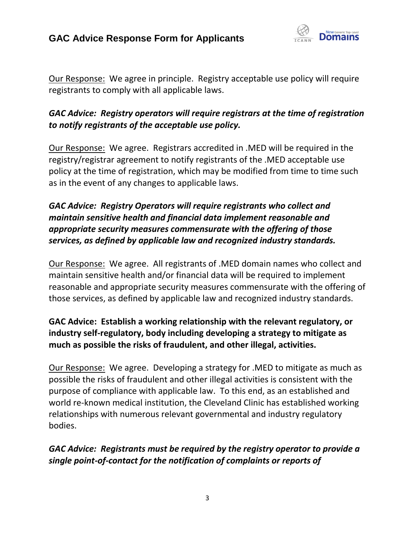

Our Response: We agree in principle. Registry acceptable use policy will require registrants to comply with all applicable laws.

## *GAC Advice: Registry operators will require registrars at the time of registration to notify registrants of the acceptable use policy.*

Our Response: We agree. Registrars accredited in .MED will be required in the registry/registrar agreement to notify registrants of the .MED acceptable use policy at the time of registration, which may be modified from time to time such as in the event of any changes to applicable laws.

## *GAC Advice: Registry Operators will require registrants who collect and maintain sensitive health and financial data implement reasonable and appropriate security measures commensurate with the offering of those services, as defined by applicable law and recognized industry standards.*

Our Response: We agree. All registrants of .MED domain names who collect and maintain sensitive health and/or financial data will be required to implement reasonable and appropriate security measures commensurate with the offering of those services, as defined by applicable law and recognized industry standards.

## **GAC Advice: Establish a working relationship with the relevant regulatory, or industry self-regulatory, body including developing a strategy to mitigate as much as possible the risks of fraudulent, and other illegal, activities.**

Our Response: We agree. Developing a strategy for .MED to mitigate as much as possible the risks of fraudulent and other illegal activities is consistent with the purpose of compliance with applicable law. To this end, as an established and world re-known medical institution, the Cleveland Clinic has established working relationships with numerous relevant governmental and industry regulatory bodies.

## *GAC Advice: Registrants must be required by the registry operator to provide a single point-of-contact for the notification of complaints or reports of*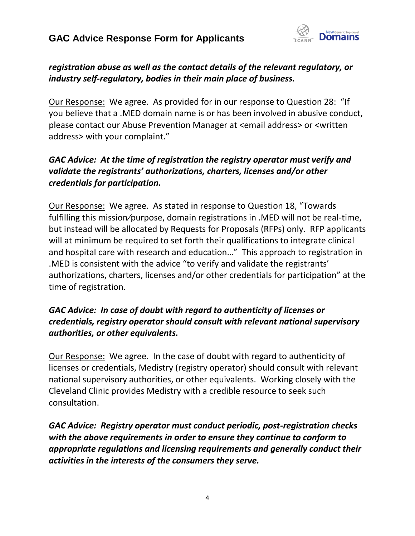

## *registration abuse as well as the contact details of the relevant regulatory, or industry self-regulatory, bodies in their main place of business.*

Our Response: We agree. As provided for in our response to Question 28: "If you believe that a .MED domain name is or has been involved in abusive conduct, please contact our Abuse Prevention Manager at <email address> or <written address> with your complaint."

## *GAC Advice: At the time of registration the registry operator must verify and validate the registrants' authorizations, charters, licenses and/or other credentials for participation.*

Our Response: We agree. As stated in response to Question 18, "Towards fulfilling this mission/purpose, domain registrations in .MED will not be real-time, but instead will be allocated by Requests for Proposals (RFPs) only. RFP applicants will at minimum be required to set forth their qualifications to integrate clinical and hospital care with research and education…" This approach to registration in .MED is consistent with the advice "to verify and validate the registrants' authorizations, charters, licenses and/or other credentials for participation" at the time of registration.

#### *GAC Advice: In case of doubt with regard to authenticity of licenses or credentials, registry operator should consult with relevant national supervisory authorities, or other equivalents.*

Our Response: We agree. In the case of doubt with regard to authenticity of licenses or credentials, Medistry (registry operator) should consult with relevant national supervisory authorities, or other equivalents. Working closely with the Cleveland Clinic provides Medistry with a credible resource to seek such consultation.

*GAC Advice: Registry operator must conduct periodic, post-registration checks with the above requirements in order to ensure they continue to conform to appropriate regulations and licensing requirements and generally conduct their activities in the interests of the consumers they serve.*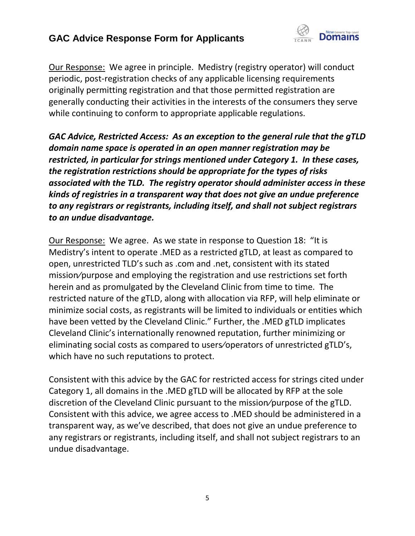

Our Response: We agree in principle. Medistry (registry operator) will conduct periodic, post-registration checks of any applicable licensing requirements originally permitting registration and that those permitted registration are generally conducting their activities in the interests of the consumers they serve while continuing to conform to appropriate applicable regulations.

*GAC Advice, Restricted Access: As an exception to the general rule that the gTLD domain name space is operated in an open manner registration may be restricted, in particular for strings mentioned under Category 1. In these cases, the registration restrictions should be appropriate for the types of risks associated with the TLD. The registry operator should administer access in these kinds of registries in a transparent way that does not give an undue preference to any registrars or registrants, including itself, and shall not subject registrars to an undue disadvantage.*

Our Response: We agree. As we state in response to Question 18: "It is Medistry's intent to operate .MED as a restricted gTLD, at least as compared to open, unrestricted TLD's such as .com and .net, consistent with its stated mission⁄purpose and employing the registration and use restrictions set forth herein and as promulgated by the Cleveland Clinic from time to time. The restricted nature of the gTLD, along with allocation via RFP, will help eliminate or minimize social costs, as registrants will be limited to individuals or entities which have been vetted by the Cleveland Clinic." Further, the .MED gTLD implicates Cleveland Clinic's internationally renowned reputation, further minimizing or eliminating social costs as compared to users⁄operators of unrestricted gTLD's, which have no such reputations to protect.

Consistent with this advice by the GAC for restricted access for strings cited under Category 1, all domains in the .MED gTLD will be allocated by RFP at the sole discretion of the Cleveland Clinic pursuant to the mission⁄purpose of the gTLD. Consistent with this advice, we agree access to .MED should be administered in a transparent way, as we've described, that does not give an undue preference to any registrars or registrants, including itself, and shall not subject registrars to an undue disadvantage.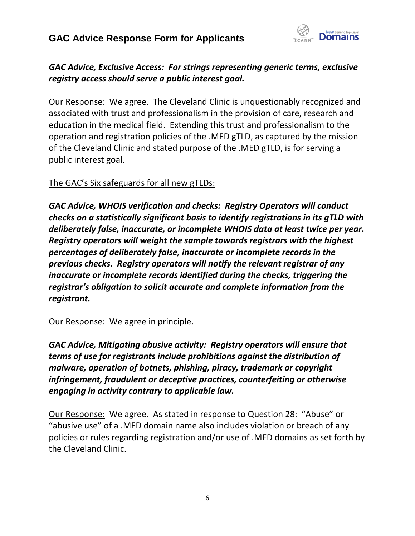

#### *GAC Advice, Exclusive Access: For strings representing generic terms, exclusive registry access should serve a public interest goal.*

Our Response: We agree. The Cleveland Clinic is unquestionably recognized and associated with trust and professionalism in the provision of care, research and education in the medical field. Extending this trust and professionalism to the operation and registration policies of the .MED gTLD, as captured by the mission of the Cleveland Clinic and stated purpose of the .MED gTLD, is for serving a public interest goal.

#### The GAC's Six safeguards for all new gTLDs:

*GAC Advice, WHOIS verification and checks: Registry Operators will conduct checks on a statistically significant basis to identify registrations in its gTLD with deliberately false, inaccurate, or incomplete WHOIS data at least twice per year. Registry operators will weight the sample towards registrars with the highest percentages of deliberately false, inaccurate or incomplete records in the previous checks. Registry operators will notify the relevant registrar of any inaccurate or incomplete records identified during the checks, triggering the registrar's obligation to solicit accurate and complete information from the registrant.*

Our Response: We agree in principle.

*GAC Advice, Mitigating abusive activity: Registry operators will ensure that terms of use for registrants include prohibitions against the distribution of malware, operation of botnets, phishing, piracy, trademark or copyright infringement, fraudulent or deceptive practices, counterfeiting or otherwise engaging in activity contrary to applicable law.*

Our Response: We agree. As stated in response to Question 28: "Abuse" or "abusive use" of a .MED domain name also includes violation or breach of any policies or rules regarding registration and/or use of .MED domains as set forth by the Cleveland Clinic.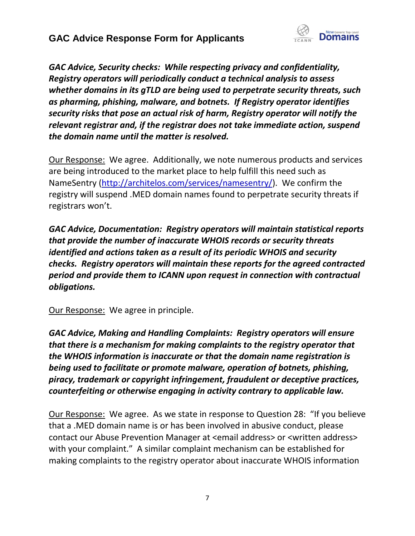

*GAC Advice, Security checks: While respecting privacy and confidentiality, Registry operators will periodically conduct a technical analysis to assess whether domains in its gTLD are being used to perpetrate security threats, such as pharming, phishing, malware, and botnets. If Registry operator identifies security risks that pose an actual risk of harm, Registry operator will notify the relevant registrar and, if the registrar does not take immediate action, suspend the domain name until the matter is resolved.*

Our Response: We agree. Additionally, we note numerous products and services are being introduced to the market place to help fulfill this need such as NameSentry [\(http://architelos.com/services/namesentry/\)](http://architelos.com/services/namesentry/). We confirm the registry will suspend .MED domain names found to perpetrate security threats if registrars won't.

*GAC Advice, Documentation: Registry operators will maintain statistical reports that provide the number of inaccurate WHOIS records or security threats identified and actions taken as a result of its periodic WHOIS and security checks. Registry operators will maintain these reports for the agreed contracted period and provide them to ICANN upon request in connection with contractual obligations.*

Our Response: We agree in principle.

*GAC Advice, Making and Handling Complaints: Registry operators will ensure that there is a mechanism for making complaints to the registry operator that the WHOIS information is inaccurate or that the domain name registration is being used to facilitate or promote malware, operation of botnets, phishing, piracy, trademark or copyright infringement, fraudulent or deceptive practices, counterfeiting or otherwise engaging in activity contrary to applicable law.*

Our Response: We agree. As we state in response to Question 28: "If you believe that a .MED domain name is or has been involved in abusive conduct, please contact our Abuse Prevention Manager at <email address> or <written address> with your complaint." A similar complaint mechanism can be established for making complaints to the registry operator about inaccurate WHOIS information